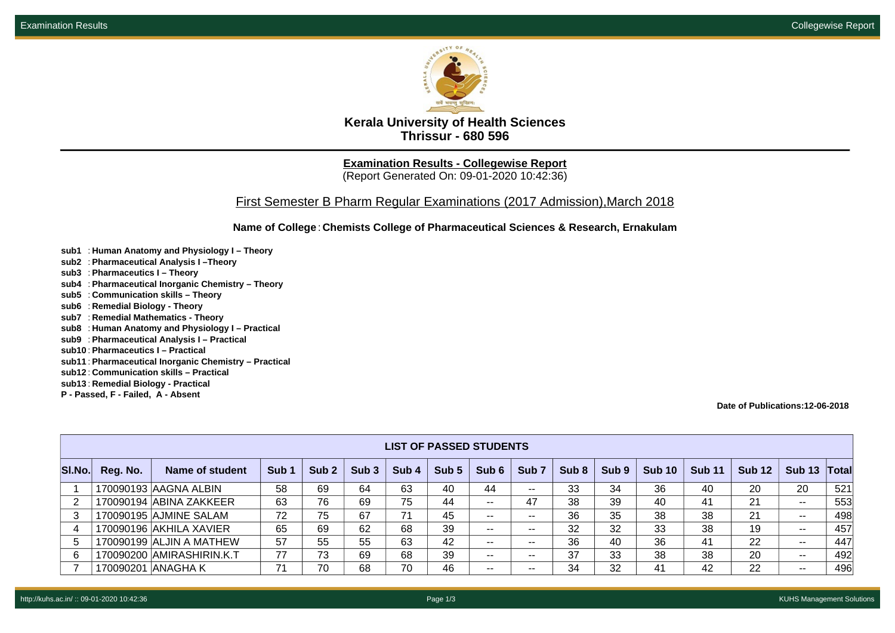

**Kerala University of Health Sciences Thrissur - 680 596**

**Examination Results - Collegewise Report** (Report Generated On: 09-01-2020 10:42:36)

First Semester B Pharm Regular Examinations (2017 Admission),March 2018

**Name of College**: **Chemists College of Pharmaceutical Sciences & Research, Ernakulam**

- **sub1** : **Human Anatomy and Physiology I Theory**
- **sub2** : **Pharmaceutical Analysis I –Theory**
- **sub3** : **Pharmaceutics I Theory**
- **sub4** : **Pharmaceutical Inorganic Chemistry Theory**
- **sub5** : **Communication skills Theory**
- **sub6** : **Remedial Biology Theory**
- **sub7** : **Remedial Mathematics Theory**
- **sub8** : **Human Anatomy and Physiology I Practical**
- **sub9** : **Pharmaceutical Analysis I Practical**
- **sub10** : **Pharmaceutics I Practical**
- **sub11** : **Pharmaceutical Inorganic Chemistry Practical**
- **sub12** : **Communication skills Practical**
- **sub13** : **Remedial Biology Practical**
- **P Passed, F Failed, A Absent**

**Date of Publications:12-06-2018**

|        | <b>LIST OF PASSED STUDENTS</b> |                           |                  |                  |                  |                  |                  |               |                          |                  |                  |               |               |               |                          |                    |
|--------|--------------------------------|---------------------------|------------------|------------------|------------------|------------------|------------------|---------------|--------------------------|------------------|------------------|---------------|---------------|---------------|--------------------------|--------------------|
| SI.No. | Reg. No.                       | Name of student           | Sub <sub>1</sub> | Sub <sub>2</sub> | Sub <sub>3</sub> | Sub <sub>4</sub> | Sub <sub>5</sub> | Sub 6         | Sub <sub>7</sub>         | Sub <sub>8</sub> | Sub <sub>9</sub> | <b>Sub 10</b> | <b>Sub 11</b> | <b>Sub 12</b> | <b>Sub 13</b>            | $\mathsf{T}$ otall |
|        |                                | 170090193 AAGNA ALBIN     | 58               | 69               | 64               | 63               | 40               | 44            | $\overline{\phantom{a}}$ | 33               | 34               | 36            | 40            | 20            | 20                       | 521                |
|        |                                | 170090194 ABINA ZAKKEER   | 63               | 76               | 69               | 75               | 44               | $\sim$ $\sim$ | 47                       | 38               | 39               | 40            | -41           | 21            | $\sim$ $\sim$            | 553                |
|        |                                | 170090195 AJMINE SALAM    | 72               | 75               | 67               | 71               | 45               | $\sim$ $\sim$ | $- -$                    | 36               | 35               | 38            | 38            | 21            | $\overline{\phantom{a}}$ | 498                |
|        |                                | 170090196 AKHILA XAVIER   | 65               | 69               | 62               | 68               | 39               | $- -$         | $- -$                    | 32               | 32               | 33            | 38            | 19            | $\sim$ $\sim$            | 457                |
| -5     |                                | 170090199 ALJIN A MATHEW  | 57               | 55               | 55               | 63               | 42               | $\sim$ $\sim$ | $- -$                    | 36               | 40               | 36            | -41           | 22            | $\sim$ $\sim$            | 447                |
| -6     |                                | 170090200 AMIRASHIRIN.K.T | 77               | 73               | 69               | 68               | 39               | $\sim$ $\sim$ | $- -$                    | 37               | 33               | 38            | 38            | 20            | $\sim$                   | 492                |
|        |                                | 170090201 ANAGHA K        | 71               | 70               | 68               | 70               | 46               | $\sim$ $\sim$ | $- -$                    | 34               | 32               | 41            | 42            | 22            | $- -$                    | 496                |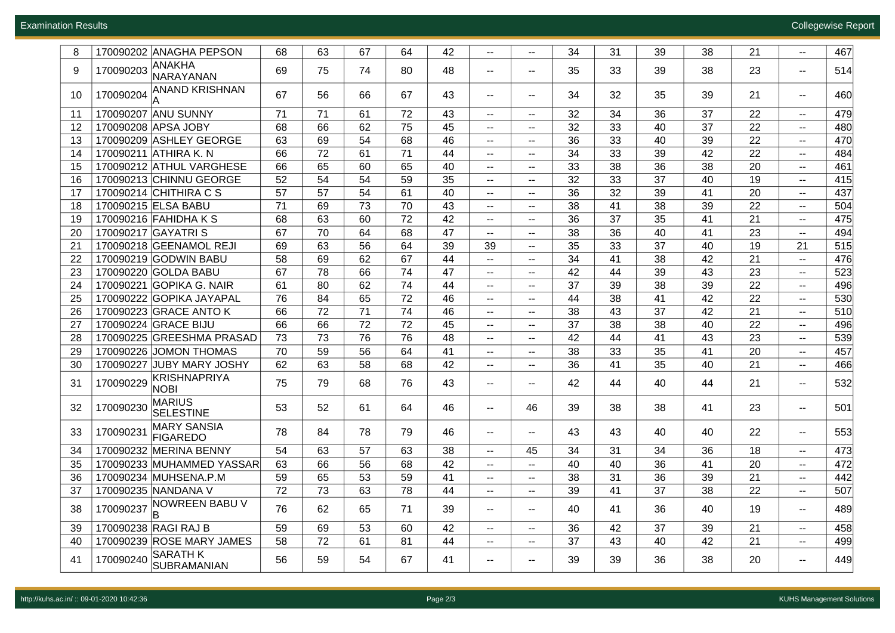| 8  | 170090202 ANAGHA PEPSON                        | 68 | 63 | 67 | 64 | 42 | --                                            | $\mathbf{u}$                                  | 34 | 31 | 39 | 38 | 21 | $\overline{\phantom{a}}$    | 467 |
|----|------------------------------------------------|----|----|----|----|----|-----------------------------------------------|-----------------------------------------------|----|----|----|----|----|-----------------------------|-----|
| 9  | ANAKHA<br>170090203<br>NARAYANAN               | 69 | 75 | 74 | 80 | 48 | --                                            | $\sim$                                        | 35 | 33 | 39 | 38 | 23 | $\overline{\phantom{a}}$    | 514 |
| 10 | <b>ANAND KRISHNAN</b><br>170090204             | 67 | 56 | 66 | 67 | 43 | ۰.                                            | $\mathord{\hspace{1pt}\text{--}\hspace{1pt}}$ | 34 | 32 | 35 | 39 | 21 | $\overline{\phantom{a}}$    | 460 |
| 11 | 170090207 ANU SUNNY                            | 71 | 71 | 61 | 72 | 43 | $\mathcal{L}_{\mathcal{F}}$                   | $\mathbf{u}$                                  | 32 | 34 | 36 | 37 | 22 | $\sim$ $\sim$               | 479 |
| 12 | 170090208 APSA JOBY                            | 68 | 66 | 62 | 75 | 45 | $- -$                                         | $\sim$ $\sim$                                 | 32 | 33 | 40 | 37 | 22 | $\overline{\phantom{a}}$    | 480 |
| 13 | 170090209 ASHLEY GEORGE                        | 63 | 69 | 54 | 68 | 46 | $\overline{\phantom{a}}$                      | $- -$                                         | 36 | 33 | 40 | 39 | 22 | $\overline{\phantom{m}}$    | 470 |
| 14 | 170090211 ATHIRA K. N                          | 66 | 72 | 61 | 71 | 44 | $\sim$                                        | $- -$                                         | 34 | 33 | 39 | 42 | 22 | $\overline{\phantom{a}}$    | 484 |
| 15 | 170090212 ATHUL VARGHESE                       | 66 | 65 | 60 | 65 | 40 | $\sim$                                        | $- -$                                         | 33 | 38 | 36 | 38 | 20 | $\overline{\phantom{a}}$    | 461 |
| 16 | 170090213 CHINNU GEORGE                        | 52 | 54 | 54 | 59 | 35 | $\sim$                                        | $\sim$                                        | 32 | 33 | 37 | 40 | 19 | $\mathcal{L}_{\mathcal{F}}$ | 415 |
| 17 | 170090214 CHITHIRA C S                         | 57 | 57 | 54 | 61 | 40 | $\sim$                                        | $\sim$                                        | 36 | 32 | 39 | 41 | 20 | $\sim$                      | 437 |
| 18 | 170090215 ELSA BABU                            | 71 | 69 | 73 | 70 | 43 | $\mathcal{L}_{\mathcal{F}}$                   | $\mathord{\hspace{1pt}\text{--}\hspace{1pt}}$ | 38 | 41 | 38 | 39 | 22 | $\sim$ $\sim$               | 504 |
| 19 | 170090216 FAHIDHA K S                          | 68 | 63 | 60 | 72 | 42 | $\overline{\phantom{a}}$                      | $- -$                                         | 36 | 37 | 35 | 41 | 21 | $\overline{\phantom{a}}$    | 475 |
| 20 | 170090217 GAYATRI S                            | 67 | 70 | 64 | 68 | 47 | н.                                            | $\sim$                                        | 38 | 36 | 40 | 41 | 23 | $\sim$ $\sim$               | 494 |
| 21 | 170090218 GEENAMOL REJI                        | 69 | 63 | 56 | 64 | 39 | 39                                            | $\overline{\phantom{a}}$                      | 35 | 33 | 37 | 40 | 19 | 21                          | 515 |
| 22 | 170090219 GODWIN BABU                          | 58 | 69 | 62 | 67 | 44 | $\overline{\phantom{a}}$                      | $\mathord{\hspace{1pt}\text{--}\hspace{1pt}}$ | 34 | 41 | 38 | 42 | 21 | $\overline{\phantom{a}}$    | 476 |
| 23 | 170090220 GOLDA BABU                           | 67 | 78 | 66 | 74 | 47 | $\overline{\phantom{a}}$                      | $- -$                                         | 42 | 44 | 39 | 43 | 23 | $\overline{\phantom{a}}$    | 523 |
| 24 | 170090221 GOPIKA G. NAIR                       | 61 | 80 | 62 | 74 | 44 | ۰.                                            | $\mathord{\hspace{1pt}\text{--}\hspace{1pt}}$ | 37 | 39 | 38 | 39 | 22 | $\mathcal{L}_{\mathcal{F}}$ | 496 |
| 25 | 170090222 GOPIKA JAYAPAL                       | 76 | 84 | 65 | 72 | 46 | --                                            | $\overline{\phantom{a}}$                      | 44 | 38 | 41 | 42 | 22 | $\overline{\phantom{a}}$    | 530 |
| 26 | 170090223 GRACE ANTO K                         | 66 | 72 | 71 | 74 | 46 | $\overline{\phantom{a}}$                      | $\sim$ $\sim$                                 | 38 | 43 | 37 | 42 | 21 | $\overline{\phantom{a}}$    | 510 |
| 27 | 170090224 GRACE BIJU                           | 66 | 66 | 72 | 72 | 45 | $\overline{\phantom{a}}$                      | $- -$                                         | 37 | 38 | 38 | 40 | 22 | $\overline{\phantom{m}}$    | 496 |
| 28 | 170090225 GREESHMA PRASAD                      | 73 | 73 | 76 | 76 | 48 | $\sim$                                        | $\overline{\phantom{a}}$                      | 42 | 44 | 41 | 43 | 23 | $\sim$                      | 539 |
| 29 | 170090226 JOMON THOMAS                         | 70 | 59 | 56 | 64 | 41 | $\sim$                                        | $\overline{\phantom{a}}$                      | 38 | 33 | 35 | 41 | 20 | $\sim$ $\sim$               | 457 |
| 30 | 170090227 JUBY MARY JOSHY                      | 62 | 63 | 58 | 68 | 42 | $\sim$                                        | $\sim$                                        | 36 | 41 | 35 | 40 | 21 | $\sim$ $\sim$               | 466 |
| 31 | KRISHNAPRIYA<br>170090229<br><b>NOBI</b>       | 75 | 79 | 68 | 76 | 43 | --                                            | $\overline{\phantom{a}}$                      | 42 | 44 | 40 | 44 | 21 | $\overline{\phantom{a}}$    | 532 |
| 32 | <b>MARIUS</b><br>170090230<br><b>SELESTINE</b> | 53 | 52 | 61 | 64 | 46 | $\sim$                                        | 46                                            | 39 | 38 | 38 | 41 | 23 | $\sim$ $\sim$               | 501 |
| 33 | <b>MARY SANSIA</b><br>170090231<br>FIGAREDO    | 78 | 84 | 78 | 79 | 46 | $- -$                                         | $- -$                                         | 43 | 43 | 40 | 40 | 22 | $\sim$                      | 553 |
| 34 | 170090232 MERINA BENNY                         | 54 | 63 | 57 | 63 | 38 | $- -$                                         | 45                                            | 34 | 31 | 34 | 36 | 18 | $\sim$                      | 473 |
| 35 | 170090233 MUHAMMED YASSAR                      | 63 | 66 | 56 | 68 | 42 | ۰.                                            | $\overline{\phantom{a}}$                      | 40 | 40 | 36 | 41 | 20 | $\overline{\phantom{a}}$    | 472 |
| 36 | 170090234 MUHSENA.P.M                          | 59 | 65 | 53 | 59 | 41 | $- -$                                         | $\overline{\phantom{a}}$                      | 38 | 31 | 36 | 39 | 21 | $\sim$                      | 442 |
| 37 | 170090235 NANDANA V                            | 72 | 73 | 63 | 78 | 44 | $\mathord{\hspace{1pt}\text{--}\hspace{1pt}}$ | $\mathord{\hspace{1pt}\text{--}\hspace{1pt}}$ | 39 | 41 | 37 | 38 | 22 | $\sim$ $\sim$               | 507 |
| 38 | <b>NOWREEN BABU V</b><br>170090237<br>ΙB       | 76 | 62 | 65 | 71 | 39 | $- -$                                         | $\overline{\phantom{a}}$                      | 40 | 41 | 36 | 40 | 19 | $\sim$                      | 489 |
| 39 | 170090238 RAGI RAJ B                           | 59 | 69 | 53 | 60 | 42 | --                                            | $\overline{\phantom{a}}$                      | 36 | 42 | 37 | 39 | 21 | $\sim$                      | 458 |
| 40 | 170090239 ROSE MARY JAMES                      | 58 | 72 | 61 | 81 | 44 | ۰.                                            | $\sim$ $\sim$                                 | 37 | 43 | 40 | 42 | 21 | $\sim$ $\sim$               | 499 |
| 41 | <b>SARATH K</b><br>170090240<br>SUBRAMANIAN    | 56 | 59 | 54 | 67 | 41 | ۰.                                            | $\overline{\phantom{a}}$                      | 39 | 39 | 36 | 38 | 20 | $\sim$                      | 449 |